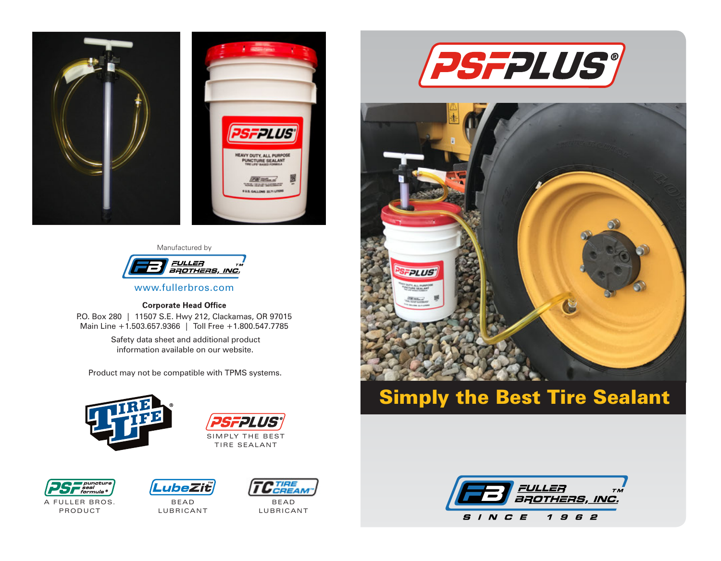

#### Manufactured by



www.fullerbros.com

#### **Corporate Head Office**

P.O. Box 280 | 11507 S.E. Hwy 212, Clackamas, OR 97015 Main Line +1.503.657.9366 | Toll Free +1.800.547.7785

> Safety data sheet and additional product information available on our website.

Product may not be compatible with TPMS systems.







A FULLER BROS. PRODUCT



BEA D **LUBRICANT** 



BEA D **LUBRICANT** 





# Simply the Best Tire Sealant